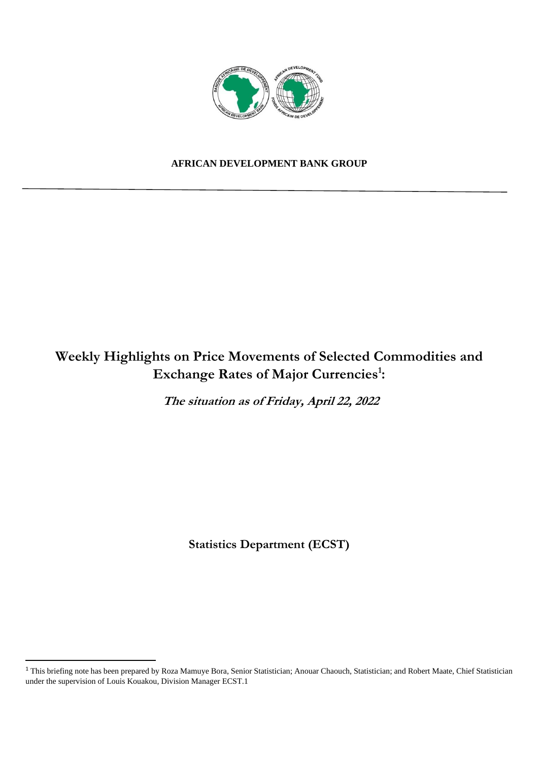

## **AFRICAN DEVELOPMENT BANK GROUP**

# **Weekly Highlights on Price Movements of Selected Commodities and Exchange Rates of Major Currencies<sup>1</sup> :**

**The situation as of Friday, April 22, 2022** 

**Statistics Department (ECST)** 

<sup>&</sup>lt;sup>1</sup> This briefing note has been prepared by Roza Mamuye Bora, Senior Statistician; Anouar Chaouch, Statistician; and Robert Maate, Chief Statistician under the supervision of Louis Kouakou, Division Manager ECST.1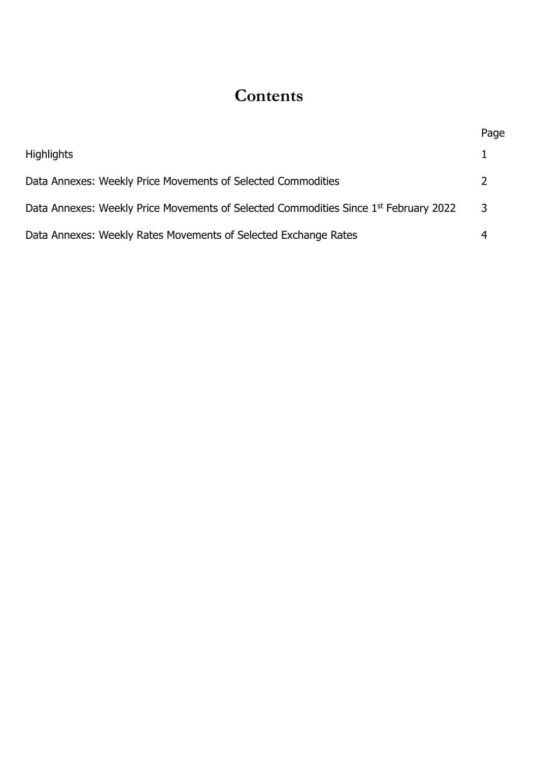# **Contents**

|                                                                                                  | Page          |
|--------------------------------------------------------------------------------------------------|---------------|
| <b>Highlights</b>                                                                                |               |
| Data Annexes: Weekly Price Movements of Selected Commodities                                     | $\mathcal{L}$ |
| Data Annexes: Weekly Price Movements of Selected Commodities Since 1 <sup>st</sup> February 2022 | 3             |
| Data Annexes: Weekly Rates Movements of Selected Exchange Rates                                  |               |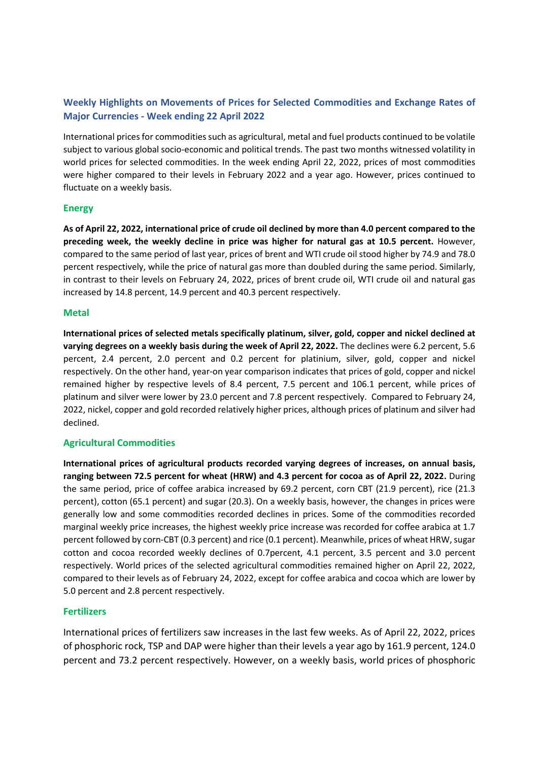# **Weekly Highlights on Movements of Prices for Selected Commodities and Exchange Rates of Major Currencies - Week ending 22 April 2022**

International prices for commodities such as agricultural, metal and fuel products continued to be volatile subject to various global socio-economic and political trends. The past two months witnessed volatility in world prices for selected commodities. In the week ending April 22, 2022, prices of most commodities were higher compared to their levels in February 2022 and a year ago. However, prices continued to fluctuate on a weekly basis.

### **Energy**

**As of April 22, 2022, international price of crude oil declined by more than 4.0 percent compared to the preceding week, the weekly decline in price was higher for natural gas at 10.5 percent.** However, compared to the same period of last year, prices of brent and WTI crude oil stood higher by 74.9 and 78.0 percent respectively, while the price of natural gas more than doubled during the same period. Similarly, in contrast to their levels on February 24, 2022, prices of brent crude oil, WTI crude oil and natural gas increased by 14.8 percent, 14.9 percent and 40.3 percent respectively.

#### **Metal**

**International prices of selected metals specifically platinum, silver, gold, copper and nickel declined at varying degrees on a weekly basis during the week of April 22, 2022.** The declines were 6.2 percent, 5.6 percent, 2.4 percent, 2.0 percent and 0.2 percent for platinium, silver, gold, copper and nickel respectively. On the other hand, year-on year comparison indicates that prices of gold, copper and nickel remained higher by respective levels of 8.4 percent, 7.5 percent and 106.1 percent, while prices of platinum and silver were lower by 23.0 percent and 7.8 percent respectively. Compared to February 24, 2022, nickel, copper and gold recorded relatively higher prices, although prices of platinum and silver had declined.

#### **Agricultural Commodities**

**International prices of agricultural products recorded varying degrees of increases, on annual basis, ranging between 72.5 percent for wheat (HRW) and 4.3 percent for cocoa as of April 22, 2022.** During the same period, price of coffee arabica increased by 69.2 percent, corn CBT (21.9 percent), rice (21.3 percent), cotton (65.1 percent) and sugar (20.3). On a weekly basis, however, the changes in prices were generally low and some commodities recorded declines in prices. Some of the commodities recorded marginal weekly price increases, the highest weekly price increase was recorded for coffee arabica at 1.7 percent followed by corn-CBT (0.3 percent) and rice (0.1 percent). Meanwhile, prices of wheat HRW, sugar cotton and cocoa recorded weekly declines of 0.7percent, 4.1 percent, 3.5 percent and 3.0 percent respectively. World prices of the selected agricultural commodities remained higher on April 22, 2022, compared to their levels as of February 24, 2022, except for coffee arabica and cocoa which are lower by 5.0 percent and 2.8 percent respectively.

#### **Fertilizers**

International prices of fertilizers saw increases in the last few weeks. As of April 22, 2022, prices of phosphoric rock, TSP and DAP were higher than their levels a year ago by 161.9 percent, 124.0 percent and 73.2 percent respectively. However, on a weekly basis, world prices of phosphoric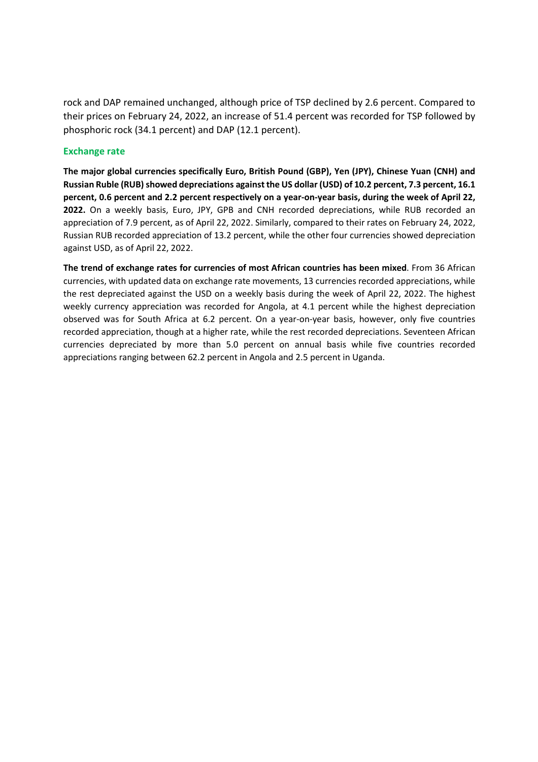rock and DAP remained unchanged, although price of TSP declined by 2.6 percent. Compared to their prices on February 24, 2022, an increase of 51.4 percent was recorded for TSP followed by phosphoric rock (34.1 percent) and DAP (12.1 percent).

### **Exchange rate**

**The major global currencies specifically Euro, British Pound (GBP), Yen (JPY), Chinese Yuan (CNH) and Russian Ruble (RUB) showed depreciations against the US dollar (USD) of 10.2 percent, 7.3 percent, 16.1 percent, 0.6 percent and 2.2 percent respectively on a year-on-year basis, during the week of April 22, 2022.** On a weekly basis, Euro, JPY, GPB and CNH recorded depreciations, while RUB recorded an appreciation of 7.9 percent, as of April 22, 2022. Similarly, compared to their rates on February 24, 2022, Russian RUB recorded appreciation of 13.2 percent, while the other four currencies showed depreciation against USD, as of April 22, 2022.

**The trend of exchange rates for currencies of most African countries has been mixed**. From 36 African currencies, with updated data on exchange rate movements, 13 currencies recorded appreciations, while the rest depreciated against the USD on a weekly basis during the week of April 22, 2022. The highest weekly currency appreciation was recorded for Angola, at 4.1 percent while the highest depreciation observed was for South Africa at 6.2 percent. On a year-on-year basis, however, only five countries recorded appreciation, though at a higher rate, while the rest recorded depreciations. Seventeen African currencies depreciated by more than 5.0 percent on annual basis while five countries recorded appreciations ranging between 62.2 percent in Angola and 2.5 percent in Uganda.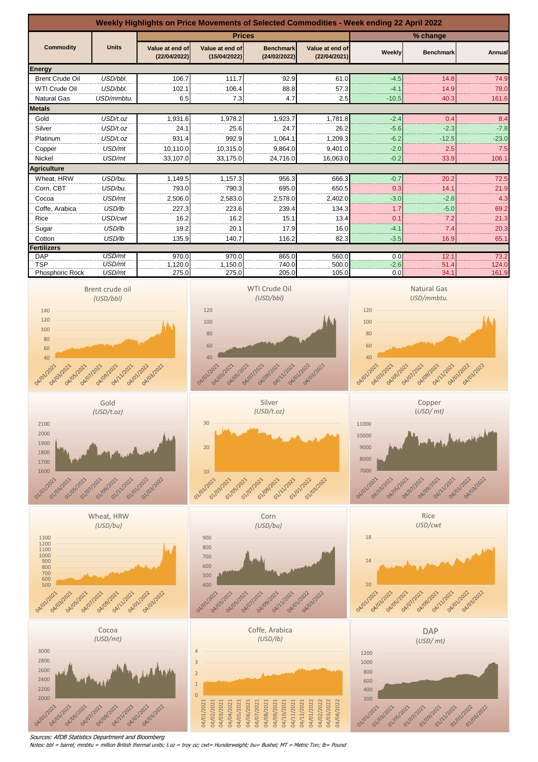

Sources: AfDB Statistics Department and Bloomberg

Notes: bbl = barrel; mmbtu = million British thermal units; t.oz = troy oz; cwt= Hunderweight; bu= Bushel; MT = Metric Ton; lb= Pound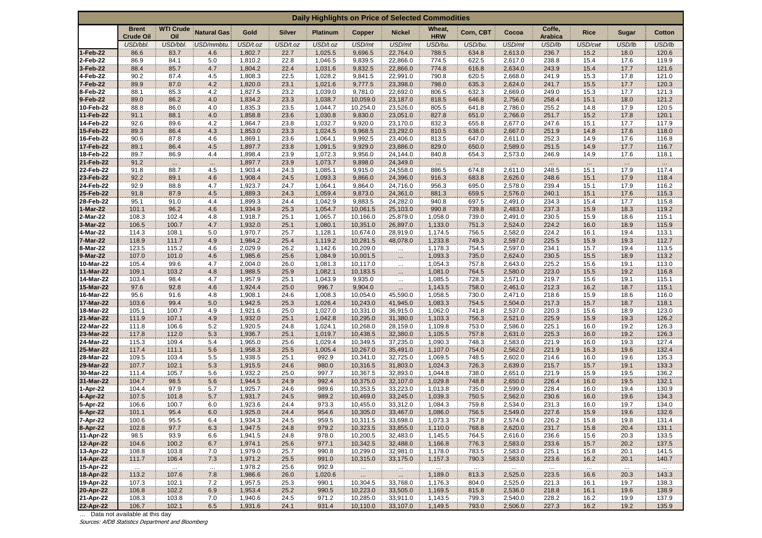| Daily Highlights on Price of Selected Commodities |                                  |                         |                    |                    |               |                    |                      |                      |                      |                   |                    |                          |                  |                 |                |
|---------------------------------------------------|----------------------------------|-------------------------|--------------------|--------------------|---------------|--------------------|----------------------|----------------------|----------------------|-------------------|--------------------|--------------------------|------------------|-----------------|----------------|
|                                                   | <b>Brent</b><br><b>Crude Oil</b> | <b>WTI Crude</b><br>Oil | <b>Natural Gas</b> | Gold               | <b>Silver</b> | <b>Platinum</b>    | Copper               | <b>Nickel</b>        | Wheat,<br><b>HRW</b> | Corn, CBT         | Cocoa              | Coffe,<br><b>Arabica</b> | <b>Rice</b>      | Sugar           | Cotton         |
|                                                   | USD/bbl.                         | USD/bbl.                | USD/mmbtu.         | USD/t.oz           | USD/t.oz      | USD/t.oz           | USD/mt               | USD/mt               | USD/bu.              | USD/bu.           | USD/mt             | USD/lb                   | USD/cwt          | USD/lb          | USD/lb         |
| 1-Feb-22                                          | 86.6                             | 83.7                    | 4.6                | 1,802.7            | 22.7          | 1,025.5            | 9,696.5              | 22,764.0             | 788.5                | 634.8             | 2,613.0            | 236.7                    | 15.2             | 18.0            | 120.6          |
| 2-Feb-22                                          | 86.9                             | 84.1                    | 5.0                | 1,810.2            | 22.8          | 1,046.5            | 9,839.5              | 22,866.0             | 774.5                | 622.5             | 2,617.0            | 238.8                    | 15.4             | 17.6            | 119.9          |
| 3-Feb-22                                          | 88.4                             | 85.7                    | 4.7                | 1,804.2            | 22.4          | 1,031.6            | 9,832.5              | 22,866.0             | 774.8                | 616.8             | 2,634.0            | 243.9                    | 15.4             | 17.7            | 121.6          |
| 4-Feb-22                                          | 90.2                             | 87.4                    | 4.5                | 1,808.3            | 22.5          | 1,028.2            | 9,841.5              | 22,991.0             | 790.8                | 620.5             | 2,668.0            | 241.9                    | 15.3             | 17.8            | 121.0          |
| 7-Feb-22<br>8-Feb-22                              | 89.9<br>88.1                     | 87.0<br>85.3            | 4.2<br>4.2         | 1,820.0<br>1,827.5 | 23.1<br>23.2  | 1,021.6<br>1,039.0 | 9,777.5<br>9,781.0   | 23,398.0<br>22,692.0 | 798.0<br>806.5       | 635.3<br>632.3    | 2,624.0<br>2,669.0 | 241.7<br>249.0           | 15.5<br>15.3     | 17.7<br>17.7    | 120.3<br>121.3 |
| 9-Feb-22                                          | 89.0                             | 86.2                    | 4.0                | 1,834.2            | 23.3          | 1,038.7            | 10,059.0             | 23,187.0             | 818.5                | 646.8             | 2,756.0            | 258.4                    | 15.1             | 18.0            | 121.2          |
| 10-Feb-22                                         | 88.8                             | 86.0                    | 4.0                | 1,835.3            | 23.5          | 1,044.7            | 10,254.0             | 23,526.0             | 805.5                | 641.8             | 2,786.0            | 255.2                    | 14.8             | 17.9            | 120.5          |
| 11-Feb-22                                         | 91.1                             | 88.1                    | 4.0                | 1,858.8            | 23.6          | 1,030.8            | 9,830.0              | 23,051.0             | 827.8                | 651.0             | 2,766.0            | 251.7                    | 15.2             | 17.8            | 120.1          |
| 14-Feb-22                                         | 92.6                             | 89.6                    | 4.2                | 1,864.7            | 23.8          | 1,032.7            | 9,920.0              | 23,170.0             | 832.3                | 655.8             | 2,677.0            | 247.6                    | 15.1             | 17.7            | 117.9          |
| 15-Feb-22                                         | 89.3                             | 86.4                    | 4.3                | 1,853.0            | 23.3          | 1,024.5            | 9,968.5              | 23,292.0             | 810.5                | 638.0             | 2,667.0            | 251.9                    | 14.8             | 17.6            | 118.0          |
| 16-Feb-22                                         | 90.6                             | 87.8                    | 4.6                | 1,869.1            | 23.6          | 1,064.1            | 9,992.5              | 23,406.0             | 813.5                | 647.0             | 2,611.0            | 252.3                    | 14.9             | 17.6            | 116.8          |
| 17-Feb-22                                         | 89.1                             | 86.4                    | 4.5                | 1,897.7            | 23.8          | 1,091.5            | 9,929.0              | 23,886.0             | 829.0                | 650.0             | 2,589.0            | 251.5                    | 14.9             | 17.7            | 116.7          |
| 18-Feb-22<br>21-Feb-22                            | 89.7<br>91.2                     | 86.9                    | 4.4                | 1,898.4<br>1,897.7 | 23.9<br>23.9  | 1,072.3<br>1,073.7 | 9,956.0<br>9,898.0   | 24,144.0<br>24,349.0 | 840.8                | 654.3             | 2,573.0            | 246.9                    | 14.9             | 17.6            | 118.1          |
| 22-Feb-22                                         | 91.8                             | $\cdots$<br>88.7        | $\cdots$<br>4.5    | 1,903.4            | 24.3          | 1,085.1            | 9,915.0              | 24,558.0             | $\cdots$<br>886.5    | $\cdots$<br>674.8 | 2,611.0            | $\cdots$<br>248.5        | $\cdots$<br>15.1 | $\cdot$<br>17.9 | 117.4          |
| 23-Feb-22                                         | 92.2                             | 89.1                    | 4.6                | 1,908.4            | 24.5          | 1,093.3            | 9,866.0              | 24,396.0             | 916.3                | 683.8             | 2,626.0            | 248.6                    | 15.1             | 17.9            | 118.4          |
| 24-Feb-22                                         | 92.9                             | 88.8                    | 4.7                | 1,923.7            | 24.7          | 1,064.1            | 9,864.0              | 24,716.0             | 956.3                | 695.0             | 2,578.0            | 239.4                    | 15.1             | 17.9            | 116.2          |
| 25-Feb-22                                         | 91.8                             | 87.9                    | 4.5                | 1,889.3            | 24.3          | 1,059.4            | 9,873.0              | 24,361.0             | 881.3                | 659.5             | 2,576.0            | 240.1                    | 15.1             | 17.6            | 115.3          |
| 28-Feb-22                                         | 95.1                             | 91.0                    | 4.4                | 1,899.3            | 24.4          | 1,042.9            | 9,883.5              | 24,282.0             | 940.8                | 697.5             | 2,491.0            | 234.3                    | 15.4             | 17.7            | 115.8          |
| -Mar-22                                           | 101.1                            | 96.2                    | 4.6                | 1,934.9            | 25.3          | 1,054.7            | 10,061.5             | 25,103.0             | 990.8                | 739.8             | 2,483.0            | 237.3                    | 15.9             | 18.3            | 119.2          |
| 2-Mar-22                                          | 108.3                            | 102.4                   | 4.8                | 1,918.7            | 25.1          | 1,065.7            | 10,166.0             | 25,879.0             | 1,058.0              | 739.0             | 2,491.0            | 230.5                    | 15.9             | 18.6            | 115.1          |
| 3-Mar-22                                          | 106.5                            | 100.7                   | 4.7                | 1,932.0            | 25.1          | 1,080.1            | 10,351.0             | 26,897.0             | 1,133.0              | 751.3             | 2,524.0            | 224.2                    | 16.0             | 18.9            | 115.9          |
| 4-Mar-22<br>7-Mar-22                              | 114.3<br>118.9                   | 108.1<br>111.7          | 5.0<br>4.9         | 1,970.7<br>1,984.2 | 25.7<br>25.4  | 1,128.1<br>1,119.2 | 10,674.0<br>10,281.5 | 28,919.0<br>48,078.0 | 1,174.5<br>1,233.8   | 756.5<br>749.3    | 2,582.0<br>2,597.0 | 224.2<br>225.5           | 16.1<br>15.9     | 19.4<br>19.3    | 113.1<br>112.7 |
| 8-Mar-22                                          | 123.5                            | 115.2                   | 4.6                | 2,029.9            | 26.2          | 1,142.6            | 10,209.0             | $\ldots$             | 1,178.3              | 754.5             | 2,597.0            | 234.1                    | 15.7             | 19.4            | 113.5          |
| 9-Mar-22                                          | 107.0                            | 101.0                   | 4.6                | 1,985.6            | 25.6          | 1,084.9            | 10,001.5             | $\dddot{\cdots}$     | 1,093.3              | 735.0             | 2,624.0            | 230.5                    | 15.5             | 18.9            | 113.2          |
| 10-Mar-22                                         | 105.4                            | 99.6                    | 4.7                | 2,004.0            | 26.0          | 1,081.3            | 10,117.0             | $\ldots$             | 1,054.3              | 757.8             | 2,643.0            | 225.2                    | 15.6             | 19.1            | 113.0          |
| 11-Mar-22                                         | 109.1                            | 103.2                   | 4.8                | 1,988.5            | 25.9          | 1,082.1            | 10,183.5             | $\dddot{\cdots}$     | 1,081.0              | 764.5             | 2,580.0            | 223.0                    | 15.5             | 19.2            | 116.8          |
| 14-Mar-22                                         | 103.4                            | 98.4                    | 4.7                | 1,957.9            | 25.1          | 1,043.9            | 9,935.0              | $\ldots$             | 1,085.5              | 728.3             | 2,571.0            | 219.7                    | 15.6             | 19.1            | 115.1          |
| 15-Mar-22                                         | 97.6                             | 92.8                    | 4.6                | 1,924.4            | 25.0          | 996.7              | 9,904.0              |                      | 1,143.5              | 758.0             | 2,461.0            | 212.3                    | 16.2             | 18.7            | 115.1          |
| 16-Mar-22                                         | 95.6                             | 91.6                    | 4.8                | 1,908.1            | 24.6          | 1,008.3            | 10,054.0             | 45,590.0             | 1,058.5              | 730.0             | 2,471.0            | 218.6                    | 15.9             | 18.6            | 116.0          |
| 17-Mar-22<br>18-Mar-22                            | 103.6<br>105.1                   | 99.4<br>100.7           | 5.0<br>4.9         | 1,942.5<br>1,921.6 | 25.3<br>25.0  | 1,026.4<br>1,027.0 | 10,243.0<br>10,331.0 | 41,945.0<br>36,915.0 | 1,083.3<br>1,062.0   | 754.5<br>741.8    | 2,504.0<br>2,537.0 | 217.3<br>220.3           | 15.7<br>15.6     | 18.7<br>18.9    | 118.1<br>123.0 |
| 21-Mar-22                                         | 111.9                            | 107.1                   | 4.9                | 1,932.0            | 25.1          | 1,042.8            | 10,295.0             | 31,380.0             | 1,103.3              | 756.3             | 2,521.0            | 225.9                    | 15.9             | 19.3            | 126.2          |
| 22-Mar-22                                         | 111.8                            | 106.6                   | 5.2                | 1,920.5            | 24.8          | 1,024.1            | 10,268.0             | 28,159.0             | 1,109.8              | 753.0             | 2,586.0            | 225.1                    | 16.0             | 19.2            | 126.3          |
| 23-Mar-22                                         | 117.8                            | 112.0                   | 5.3                | 1,936.7            | 25.1          | 1,019.7            | 10,438.5             | 32,380.0             | 1,105.5              | 757.8             | 2,631.0            | 225.3                    | 16.0             | 19.2            | 126.3          |
| 24-Mar-22                                         | 115.3                            | 109.4                   | 5.4                | 1,965.0            | 25.6          | 1,029.4            | 10,349.5             | 37,235.0             | 1,090.3              | 748.3             | 2,583.0            | 221.9                    | 16.0             | 19.3            | 127.4          |
| 25-Mar-22                                         | 117.4                            | 111.1                   | 5.6                | 1,958.3            | 25.5          | 1,005.4            | 10,267.0             | 35,491.0             | 1,107.0              | 754.0             | 2,562.0            | 221.9                    | 16.3             | 19.6            | 132.4          |
| 28-Mar-22                                         | 109.5                            | 103.4                   | 5.5                | 1,938.5            | 25.1          | 992.9              | 10,341.0             | 32,725.0             | 1,069.5              | 748.5             | 2,602.0            | 214.6                    | 16.0             | 19.6            | 135.3          |
| 29-Mar-22<br>30-Mar-22                            | 107.7<br>111.4                   | 102.1<br>105.7          | 5.3<br>5.6         | 1,915.5<br>1,932.2 | 24.6          | 980.0<br>997.7     | 10,316.5<br>10,367.5 | 31,803.0             | 1,024.3<br>1,044.8   | 726.3<br>738.0    | 2,639.0<br>2,651.0 | 215.7<br>221.9           | 15.7<br>15.9     | 19.1<br>19.5    | 133.3          |
| 31-Mar-22                                         | 104.7                            | 98.5                    | 5.6                | 1,944.5            | 25.0<br>24.9  | 992.4              | 10,375.0             | 32,893.0<br>32,107.0 | 1,029.8              | 748.8             | 2,650.0            | 226.4                    | 16.0             | 19.5            | 136.2<br>132.1 |
| l-Apr-22                                          | 104.4                            | 97.9                    | 5.7                | 1,925.7            | 24.6          | 989.6              | 10,353.5             | 33,223.0             | 1,013.8              | 735.0             | 2,599.0            | 228.4                    | 16.0             | 19.4            | 130.9          |
| 4-Apr-22                                          | 107.5                            | 101.8                   | 5.7                | 1,931.7            | 24.5          | 989.2              | 10,469.0             | 33,245.0             | 1,039.3              | 750.5             | 2,562.0            | 230.6                    | 16.0             | 19.6            | 134.3          |
| 5-Apr-22                                          | 106.6                            | 100.7                   | 6.0                | 1,923.6            | 24.4          | 973.3              | 10,455.0             | 33,312.0             | 1,084.3              | 759.8             | 2,534.0            | 231.3                    | 16.0             | 19.7            | 134.0          |
| 6-Apr-22                                          | 101.1                            | 95.4                    | 6.0                | 1,925.0            | 24.4          | 954.6              | 10,305.0             | 33,467.0             | 1,086.0              | 756.5             | 2,549.0            | 227.6                    | 15.9             | 19.6            | 132.6          |
| 7-Apr-22                                          | 100.6                            | 95.5                    | 6.4                | 1,934.3            | 24.5          | 959.5              | 10,311.5             | 33,698.0             | 1,073.3              | 757.8             | 2,574.0            | 226.2                    | 15.8             | 19.8            | 131.4          |
| 8-Apr-22                                          | 102.8                            | 97.7                    | 6.3                | 1,947.5            | 24.8          | 979.2              | 10,323.5             | 33,855.0             | 1,110.0              | 768.8             | 2,620.0            | 231.7                    | 15.8             | 20.4            | 131.1          |
| 11-Apr-22                                         | 98.5                             | 93.9                    | 6.6                | 1,941.5            | 24.8          | 978.0              | 10,200.5             | 32,483.0             | 1,145.5              | 764.5             | 2,616.0            | 236.6                    | 15.6             | 20.3            | 133.5          |
| 12-Apr-22<br>13-Apr-22                            | 104.6<br>108.8                   | 100.2<br>103.8          | 6.7<br>7.0         | 1,974.1<br>1,979.0 | 25.6<br>25.7  | 977.1<br>990.8     | 10,342.5<br>10,299.0 | 32,488.0<br>32,981.0 | 1,166.8<br>1,178.0   | 776.3<br>783.5    | 2,583.0<br>2,583.0 | 233.6<br>225.1           | 15.7<br>15.8     | 20.2<br>20.1    | 137.5<br>141.5 |
| 14-Apr-22                                         | 111.7                            | 106.4                   | 7.3                | 1,971.2            | 25.5          | 991.0              | 10,315.0             | 33,175.0             | 1,157.3              | 790.3             | 2,583.0            | 223.6                    | 16.2             | 20.1            | 140.7          |
| 15-Apr-22                                         | $\sim$                           | $\cdots$                | m.                 | 1,978.2            | 25.6          | 992.9              | $\cdots$             | $\mathbb{R}^2$       | $\cdots$             | $\ldots$          | $\ldots$           | $\mathbf{m}$             | $\cdots$         | in.             | $\cdots$       |
| 18-Apr-22                                         | 113.2                            | 107.6                   | 7.8                | 1,986.6            | 26.0          | 1,020.6            | $\cdots$             | $\cdots$             | 1,189.0              | 813.3             | 2,525.0            | 223.5                    | 16.6             | 20.3            | 143.3          |
| 19-Apr-22                                         | 107.3                            | 102.1                   | $7.2\,$            | 1,957.5            | 25.3          | 990.1              | 10,304.5             | 33,768.0             | 1,176.3              | 804.0             | 2,525.0            | 221.3                    | 16.1             | 19.7            | 138.3          |
| 20-Apr-22                                         | 106.8                            | 102.2                   | 6.9                | 1,953.4            | 25.2          | 990.5              | 10,223.0             | 33,505.0             | 1,169.5              | 815.8             | 2,536.0            | 218.8                    | 16.1             | 19.6            | 138.9          |
| 21-Apr-22                                         | 108.3                            | 103.8                   | 7.0                | 1,940.6            | 24.5          | 971.2              | 10,285.0             | 33,911.0             | 1,143.5              | 799.3             | 2,540.0            | 228.2                    | 16.2             | 19.9            | 137.9          |
| 22-Apr-22                                         | 106.7                            | 102.1                   | 6.5                | 1,931.6            | 24.1          | 931.4              | 10,110.0             | 33,107.0             | 1,149.5              | 793.0             | 2,506.0            | 227.3                    | 16.2             | 19.2            | 135.9          |

… Data not available at this day Sources: AfDB Statistics Department and Bloomberg